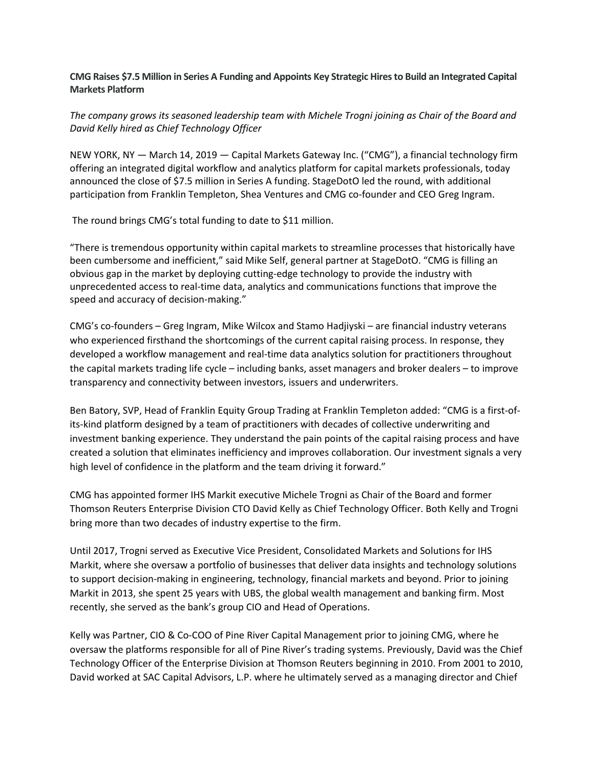## CMG Raises \$7.5 Million in Series A Funding and Appoints Key Strategic Hires to Build an Integrated Capital **Markets Platform**

## *The company grows its seasoned leadership team with Michele Trogni joining as Chair of the Board and David Kelly hired as Chief Technology Officer*

NEW YORK, NY — March 14, 2019 — Capital Markets Gateway Inc. ("CMG"), a financial technology firm offering an integrated digital workflow and analytics platform for capital markets professionals, today announced the close of \$7.5 million in Series A funding. StageDotO led the round, with additional participation from Franklin Templeton, Shea Ventures and CMG co-founder and CEO Greg Ingram.

The round brings CMG's total funding to date to \$11 million.

"There is tremendous opportunity within capital markets to streamline processes that historically have been cumbersome and inefficient," said Mike Self, general partner at StageDotO. "CMG is filling an obvious gap in the market by deploying cutting-edge technology to provide the industry with unprecedented access to real-time data, analytics and communications functions that improve the speed and accuracy of decision-making."

CMG's co-founders – Greg Ingram, Mike Wilcox and Stamo Hadjiyski – are financial industry veterans who experienced firsthand the shortcomings of the current capital raising process. In response, they developed a workflow management and real-time data analytics solution for practitioners throughout the capital markets trading life cycle – including banks, asset managers and broker dealers – to improve transparency and connectivity between investors, issuers and underwriters.

Ben Batory, SVP, Head of Franklin Equity Group Trading at Franklin Templeton added: "CMG is a first-ofits-kind platform designed by a team of practitioners with decades of collective underwriting and investment banking experience. They understand the pain points of the capital raising process and have created a solution that eliminates inefficiency and improves collaboration. Our investment signals a very high level of confidence in the platform and the team driving it forward."

CMG has appointed former IHS Markit executive Michele Trogni as Chair of the Board and former Thomson Reuters Enterprise Division CTO David Kelly as Chief Technology Officer. Both Kelly and Trogni bring more than two decades of industry expertise to the firm.

Until 2017, Trogni served as Executive Vice President, Consolidated Markets and Solutions for IHS Markit, where she oversaw a portfolio of businesses that deliver data insights and technology solutions to support decision-making in engineering, technology, financial markets and beyond. Prior to joining Markit in 2013, she spent 25 years with UBS, the global wealth management and banking firm. Most recently, she served as the bank's group CIO and Head of Operations.

Kelly was Partner, CIO & Co-COO of Pine River Capital Management prior to joining CMG, where he oversaw the platforms responsible for all of Pine River's trading systems. Previously, David was the Chief Technology Officer of the Enterprise Division at Thomson Reuters beginning in 2010. From 2001 to 2010, David worked at SAC Capital Advisors, L.P. where he ultimately served as a managing director and Chief